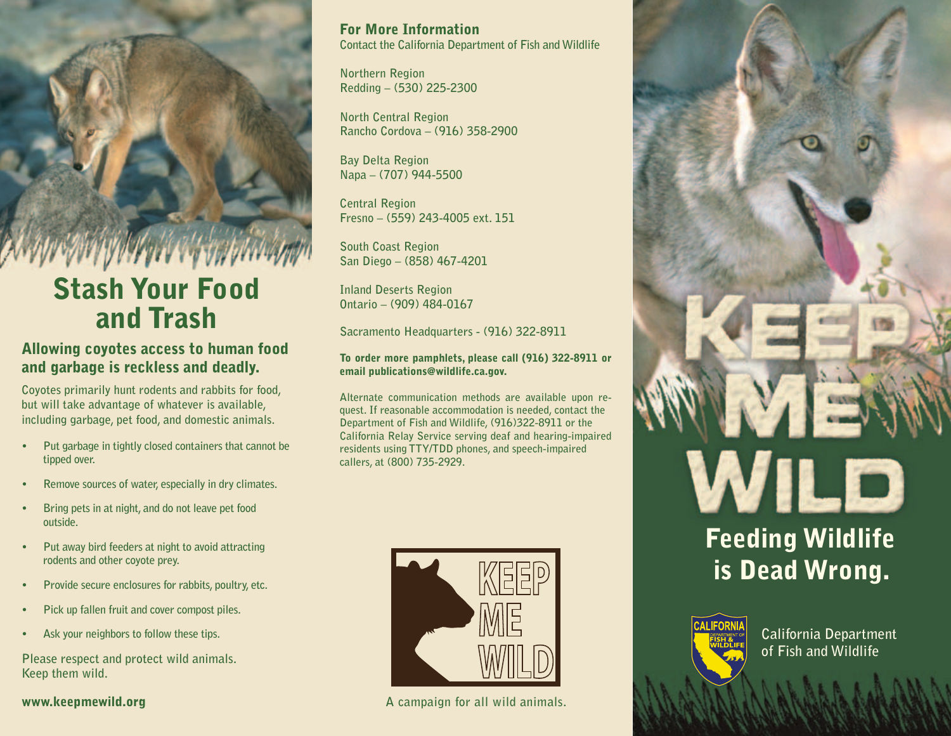

# Stash Your Food and Trash

## Allowing coyotes access to human food and garbage is reckless and deadly.

**Coyotes primarily hunt rodents and rabbits for food, but will take advantage of whatever is available, including garbage, pet food, and domestic animals.**

- Put garbage in tightly closed containers that cannot be **tipped over.**
- Remove sources of water, especially in dry climates.
- Bring pets in at night, and do not leave pet food **outside.**
- **Put away bird feeders at night to avoid attracting rodents and other coyote prey.**
- Provide secure enclosures for rabbits, poultry, etc.
- **Pick up fallen fruit and cover compost piles.**
- Ask your neighbors to follow these tips.

**Please respect and protect wild animals. Keep them wild.**

www.keepmewild.org

For More Information **Contact the California Department of Fish and Wildlife**

**Northern Region Redding – (530) 225-2300**

**North Central Region Rancho Cordova – (916) 358-2900**

**Bay Delta Region Napa – (707) 944-5500**

**Central Region Fresno – (559) 243-4005 ext. 151**

**South Coast Region San Diego – (858) 467-4201**

**Inland Deserts Region Ontario – (909) 484-0167**

**Sacramento Headquarters - (916) 322-8911**

#### To order more pamphlets, please call (916) 322-8911 or email publications@wildlife.ca.gov.

**Alternate communication methods are available upon request. If reasonable accommodation is needed, contact the Department of Fish and Wildlife, (916)322-8911 or the California Relay Service serving deaf and hearing-impaired residents using TTY/TDD phones, and speech-impaired callers, at (800) 735-2929.**



**A campaign for all wild animals.**



# Feeding Wildlife is Dead Wrong.



**California Department of Fish and Wildlife**